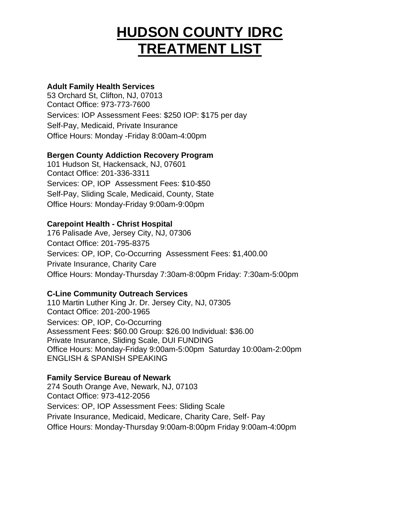# **HUDSON COUNTY IDRC TREATMENT LIST**

## **Adult Family Health Services**

53 Orchard St, Clifton, NJ, 07013 Contact Office: 973-773-7600 Services: IOP Assessment Fees: \$250 IOP: \$175 per day Self-Pay, Medicaid, Private Insurance Office Hours: Monday -Friday 8:00am-4:00pm

# **Bergen County Addiction Recovery Program**

101 Hudson St, Hackensack, NJ, 07601 Contact Office: 201-336-3311 Services: OP, IOP Assessment Fees: \$10-\$50 Self-Pay, Sliding Scale, Medicaid, County, State Office Hours: Monday-Friday 9:00am-9:00pm

## **Carepoint Health - Christ Hospital**

176 Palisade Ave, Jersey City, NJ, 07306 Contact Office: 201-795-8375 Services: OP, IOP, Co-Occurring Assessment Fees: \$1,400.00 Private Insurance, Charity Care Office Hours: Monday-Thursday 7:30am-8:00pm Friday: 7:30am-5:00pm

#### **C-Line Community Outreach Services**

110 Martin Luther King Jr. Dr. Jersey City, NJ, 07305 Contact Office: 201-200-1965 Services: OP, IOP, Co-Occurring Assessment Fees: \$60.00 Group: \$26.00 Individual: \$36.00 Private Insurance, Sliding Scale, DUI FUNDING Office Hours: Monday-Friday 9:00am-5:00pm Saturday 10:00am-2:00pm ENGLISH & SPANISH SPEAKING

#### **Family Service Bureau of Newark**

274 South Orange Ave, Newark, NJ, 07103 Contact Office: 973-412-2056 Services: OP, IOP Assessment Fees: Sliding Scale Private Insurance, Medicaid, Medicare, Charity Care, Self- Pay Office Hours: Monday-Thursday 9:00am-8:00pm Friday 9:00am-4:00pm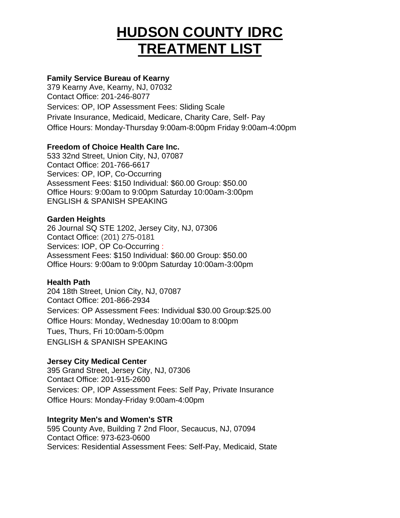# **HUDSON COUNTY IDRC TREATMENT LIST**

# **Family Service Bureau of Kearny**

379 Kearny Ave, Kearny, NJ, 07032 Contact Office: 201-246-8077 Services: OP, IOP Assessment Fees: Sliding Scale Private Insurance, Medicaid, Medicare, Charity Care, Self- Pay Office Hours: Monday-Thursday 9:00am-8:00pm Friday 9:00am-4:00pm

## **Freedom of Choice Health Care Inc.**

533 32nd Street, Union City, NJ, 07087 Contact Office: 201-766-6617 Services: OP, IOP, Co-Occurring Assessment Fees: \$150 Individual: \$60.00 Group: \$50.00 Office Hours: 9:00am to 9:00pm Saturday 10:00am-3:00pm ENGLISH & SPANISH SPEAKING

## **Garden Heights**

26 Journal SQ STE 1202, Jersey City, NJ, 07306 Contact Office: (201) 275-0181 Services: IOP, OP Co-Occurring : Assessment Fees: \$150 Individual: \$60.00 Group: \$50.00 Office Hours: 9:00am to 9:00pm Saturday 10:00am-3:00pm

#### **Health Path**

204 18th Street, Union City, NJ, 07087 Contact Office: 201-866-2934 Services: OP Assessment Fees: Individual \$30.00 Group:\$25.00 Office Hours: Monday, Wednesday 10:00am to 8:00pm Tues, Thurs, Fri 10:00am-5:00pm ENGLISH & SPANISH SPEAKING

# **Jersey City Medical Center**

395 Grand Street, Jersey City, NJ, 07306 Contact Office: 201-915-2600 Services: OP, IOP Assessment Fees: Self Pay, Private Insurance Office Hours: Monday-Friday 9:00am-4:00pm

#### **Integrity Men's and Women's STR**

595 County Ave, Building 7 2nd Floor, Secaucus, NJ, 07094 Contact Office: 973-623-0600 Services: Residential Assessment Fees: Self-Pay, Medicaid, State